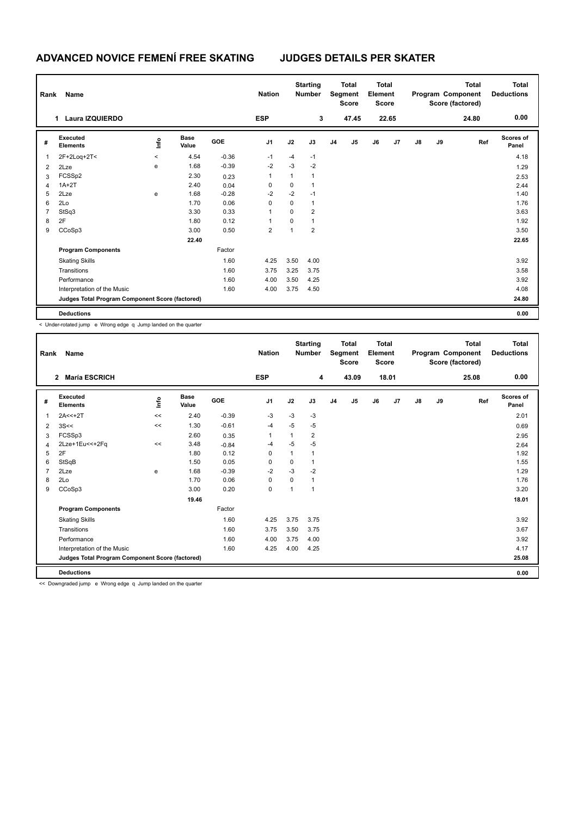# **ADVANCED NOVICE FEMENÍ FREE SKATING JUDGES DETAILS PER SKATER**

| Rank | Name                                            |                          |                      |            | <b>Nation</b>  |              | <b>Starting</b><br><b>Number</b> |                | <b>Total</b><br>Segment<br><b>Score</b> | <b>Total</b><br>Element<br><b>Score</b> |       |               |    | <b>Total</b><br>Program Component<br>Score (factored) | <b>Total</b><br><b>Deductions</b> |
|------|-------------------------------------------------|--------------------------|----------------------|------------|----------------|--------------|----------------------------------|----------------|-----------------------------------------|-----------------------------------------|-------|---------------|----|-------------------------------------------------------|-----------------------------------|
|      | Laura IZQUIERDO                                 |                          |                      |            | <b>ESP</b>     |              | 3                                |                | 47.45                                   |                                         | 22.65 |               |    | 24.80                                                 | 0.00                              |
| #    | Executed<br><b>Elements</b>                     | lnfo                     | <b>Base</b><br>Value | <b>GOE</b> | J <sub>1</sub> | J2           | J3                               | J <sub>4</sub> | J5                                      | J6                                      | J7    | $\mathsf{J}8$ | J9 | Ref                                                   | <b>Scores of</b><br>Panel         |
| 1    | 2F+2Loq+2T<                                     | $\overline{\phantom{a}}$ | 4.54                 | $-0.36$    | $-1$           | $-4$         | $-1$                             |                |                                         |                                         |       |               |    |                                                       | 4.18                              |
| 2    | 2Lze                                            | e                        | 1.68                 | $-0.39$    | $-2$           | $-3$         | $-2$                             |                |                                         |                                         |       |               |    |                                                       | 1.29                              |
| 3    | FCSSp2                                          |                          | 2.30                 | 0.23       | 1              | 1            | $\overline{1}$                   |                |                                         |                                         |       |               |    |                                                       | 2.53                              |
| 4    | $1A+2T$                                         |                          | 2.40                 | 0.04       | 0              | 0            |                                  |                |                                         |                                         |       |               |    |                                                       | 2.44                              |
| 5    | 2Lze                                            | e                        | 1.68                 | $-0.28$    | $-2$           | $-2$         | $-1$                             |                |                                         |                                         |       |               |    |                                                       | 1.40                              |
| 6    | 2Lo                                             |                          | 1.70                 | 0.06       | $\Omega$       | 0            | $\mathbf{1}$                     |                |                                         |                                         |       |               |    |                                                       | 1.76                              |
| 7    | StSq3                                           |                          | 3.30                 | 0.33       |                | $\Omega$     | $\overline{2}$                   |                |                                         |                                         |       |               |    |                                                       | 3.63                              |
| 8    | 2F                                              |                          | 1.80                 | 0.12       |                | 0            | $\overline{1}$                   |                |                                         |                                         |       |               |    |                                                       | 1.92                              |
| 9    | CCoSp3                                          |                          | 3.00                 | 0.50       | 2              | $\mathbf{1}$ | $\overline{2}$                   |                |                                         |                                         |       |               |    |                                                       | 3.50                              |
|      |                                                 |                          | 22.40                |            |                |              |                                  |                |                                         |                                         |       |               |    |                                                       | 22.65                             |
|      | <b>Program Components</b>                       |                          |                      | Factor     |                |              |                                  |                |                                         |                                         |       |               |    |                                                       |                                   |
|      | <b>Skating Skills</b>                           |                          |                      | 1.60       | 4.25           | 3.50         | 4.00                             |                |                                         |                                         |       |               |    |                                                       | 3.92                              |
|      | Transitions                                     |                          |                      | 1.60       | 3.75           | 3.25         | 3.75                             |                |                                         |                                         |       |               |    |                                                       | 3.58                              |
|      | Performance                                     |                          |                      | 1.60       | 4.00           | 3.50         | 4.25                             |                |                                         |                                         |       |               |    |                                                       | 3.92                              |
|      | Interpretation of the Music                     |                          |                      | 1.60       | 4.00           | 3.75         | 4.50                             |                |                                         |                                         |       |               |    |                                                       | 4.08                              |
|      | Judges Total Program Component Score (factored) |                          |                      |            |                |              |                                  |                |                                         |                                         |       |               |    |                                                       | 24.80                             |
|      | <b>Deductions</b>                               |                          |                      |            |                |              |                                  |                |                                         |                                         |       |               |    |                                                       | 0.00                              |

< Under-rotated jump e Wrong edge q Jump landed on the quarter

| Rank | Name                                            |       |                      |            | <b>Nation</b>  |          | <b>Starting</b><br><b>Number</b> |                | <b>Total</b><br>Segment<br><b>Score</b> | Total<br>Element<br><b>Score</b> |       |               |    | <b>Total</b><br>Program Component<br>Score (factored) | Total<br><b>Deductions</b> |
|------|-------------------------------------------------|-------|----------------------|------------|----------------|----------|----------------------------------|----------------|-----------------------------------------|----------------------------------|-------|---------------|----|-------------------------------------------------------|----------------------------|
|      | <b>María ESCRICH</b><br>$\overline{2}$          |       |                      |            | <b>ESP</b>     |          | 4                                |                | 43.09                                   |                                  | 18.01 |               |    | 25.08                                                 | 0.00                       |
| #    | Executed<br><b>Elements</b>                     | Linfo | <b>Base</b><br>Value | <b>GOE</b> | J <sub>1</sub> | J2       | J3                               | J <sub>4</sub> | J5                                      | J6                               | J7    | $\mathsf{J}8$ | J9 | Ref                                                   | Scores of<br>Panel         |
| 1    | $2A < +2T$                                      | <<    | 2.40                 | $-0.39$    | $-3$           | $-3$     | $-3$                             |                |                                         |                                  |       |               |    |                                                       | 2.01                       |
| 2    | 3S<<                                            | <<    | 1.30                 | $-0.61$    | $-4$           | $-5$     | -5                               |                |                                         |                                  |       |               |    |                                                       | 0.69                       |
| 3    | FCSSp3                                          |       | 2.60                 | 0.35       | 1              | 1        | $\overline{2}$                   |                |                                         |                                  |       |               |    |                                                       | 2.95                       |
| 4    | 2Lze+1Eu<<+2Fq                                  | <<    | 3.48                 | $-0.84$    | $-4$           | $-5$     | $-5$                             |                |                                         |                                  |       |               |    |                                                       | 2.64                       |
| 5    | 2F                                              |       | 1.80                 | 0.12       | 0              | 1        | $\mathbf 1$                      |                |                                         |                                  |       |               |    |                                                       | 1.92                       |
| 6    | StSqB                                           |       | 1.50                 | 0.05       | $\Omega$       | 0        |                                  |                |                                         |                                  |       |               |    |                                                       | 1.55                       |
| 7    | 2Lze                                            | е     | 1.68                 | $-0.39$    | $-2$           | $-3$     | $-2$                             |                |                                         |                                  |       |               |    |                                                       | 1.29                       |
| 8    | 2Lo                                             |       | 1.70                 | 0.06       | 0              | $\Omega$ | $\mathbf{1}$                     |                |                                         |                                  |       |               |    |                                                       | 1.76                       |
| 9    | CCoSp3                                          |       | 3.00                 | 0.20       | 0              | 1        | $\overline{1}$                   |                |                                         |                                  |       |               |    |                                                       | 3.20                       |
|      |                                                 |       | 19.46                |            |                |          |                                  |                |                                         |                                  |       |               |    |                                                       | 18.01                      |
|      | <b>Program Components</b>                       |       |                      | Factor     |                |          |                                  |                |                                         |                                  |       |               |    |                                                       |                            |
|      | <b>Skating Skills</b>                           |       |                      | 1.60       | 4.25           | 3.75     | 3.75                             |                |                                         |                                  |       |               |    |                                                       | 3.92                       |
|      | Transitions                                     |       |                      | 1.60       | 3.75           | 3.50     | 3.75                             |                |                                         |                                  |       |               |    |                                                       | 3.67                       |
|      | Performance                                     |       |                      | 1.60       | 4.00           | 3.75     | 4.00                             |                |                                         |                                  |       |               |    |                                                       | 3.92                       |
|      | Interpretation of the Music                     |       |                      | 1.60       | 4.25           | 4.00     | 4.25                             |                |                                         |                                  |       |               |    |                                                       | 4.17                       |
|      | Judges Total Program Component Score (factored) |       |                      |            |                |          |                                  |                |                                         |                                  |       |               |    |                                                       | 25.08                      |
|      | <b>Deductions</b>                               |       |                      |            |                |          |                                  |                |                                         |                                  |       |               |    |                                                       | 0.00                       |

<< Downgraded jump e Wrong edge q Jump landed on the quarter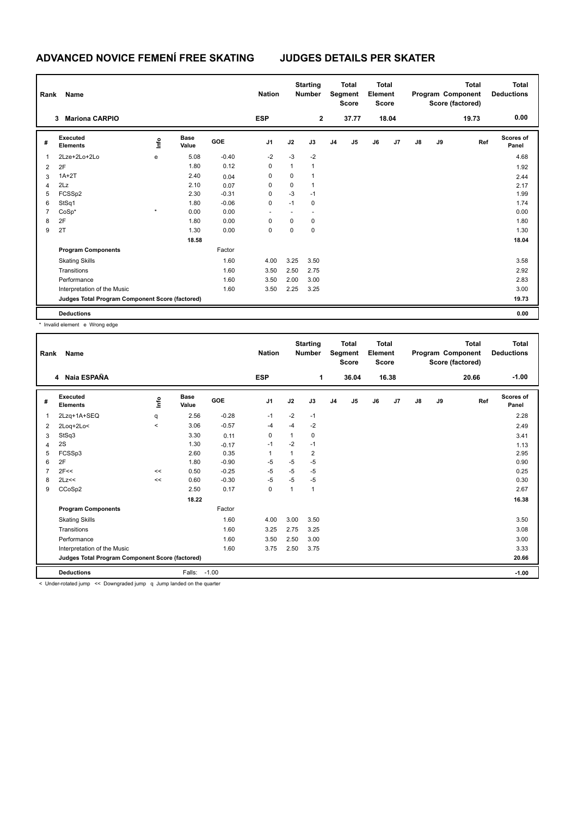## **ADVANCED NOVICE FEMENÍ FREE SKATING JUDGES DETAILS PER SKATER**

| Rank | Name                                            |         |                      |         | <b>Nation</b>  |              | <b>Starting</b><br><b>Number</b> |                | <b>Total</b><br>Segment<br><b>Score</b> | <b>Total</b><br>Element<br><b>Score</b> |       |               |    | <b>Total</b><br>Program Component<br>Score (factored) | <b>Total</b><br><b>Deductions</b> |
|------|-------------------------------------------------|---------|----------------------|---------|----------------|--------------|----------------------------------|----------------|-----------------------------------------|-----------------------------------------|-------|---------------|----|-------------------------------------------------------|-----------------------------------|
|      | <b>Mariona CARPIO</b><br>3                      |         |                      |         | <b>ESP</b>     |              | $\overline{2}$                   |                | 37.77                                   |                                         | 18.04 |               |    | 19.73                                                 | 0.00                              |
| #    | Executed<br><b>Elements</b>                     | ١nfo    | <b>Base</b><br>Value | GOE     | J <sub>1</sub> | J2           | J3                               | J <sub>4</sub> | J5                                      | J6                                      | J7    | $\mathsf{J}8$ | J9 | Ref                                                   | <b>Scores of</b><br>Panel         |
| 1    | 2Lze+2Lo+2Lo                                    | e       | 5.08                 | $-0.40$ | $-2$           | $-3$         | $-2$                             |                |                                         |                                         |       |               |    |                                                       | 4.68                              |
| 2    | 2F                                              |         | 1.80                 | 0.12    | 0              | $\mathbf{1}$ | $\mathbf{1}$                     |                |                                         |                                         |       |               |    |                                                       | 1.92                              |
| 3    | $1A+2T$                                         |         | 2.40                 | 0.04    | 0              | 0            | -1                               |                |                                         |                                         |       |               |    |                                                       | 2.44                              |
| 4    | 2Lz                                             |         | 2.10                 | 0.07    | 0              | 0            | $\overline{1}$                   |                |                                         |                                         |       |               |    |                                                       | 2.17                              |
| 5    | FCSSp2                                          |         | 2.30                 | $-0.31$ | 0              | $-3$         | $-1$                             |                |                                         |                                         |       |               |    |                                                       | 1.99                              |
| 6    | StSq1                                           |         | 1.80                 | $-0.06$ | 0              | $-1$         | 0                                |                |                                         |                                         |       |               |    |                                                       | 1.74                              |
| 7    | $CoSp*$                                         | $\star$ | 0.00                 | 0.00    |                |              |                                  |                |                                         |                                         |       |               |    |                                                       | 0.00                              |
| 8    | 2F                                              |         | 1.80                 | 0.00    | 0              | 0            | 0                                |                |                                         |                                         |       |               |    |                                                       | 1.80                              |
| 9    | 2T                                              |         | 1.30                 | 0.00    | 0              | 0            | $\pmb{0}$                        |                |                                         |                                         |       |               |    |                                                       | 1.30                              |
|      |                                                 |         | 18.58                |         |                |              |                                  |                |                                         |                                         |       |               |    |                                                       | 18.04                             |
|      | <b>Program Components</b>                       |         |                      | Factor  |                |              |                                  |                |                                         |                                         |       |               |    |                                                       |                                   |
|      | <b>Skating Skills</b>                           |         |                      | 1.60    | 4.00           | 3.25         | 3.50                             |                |                                         |                                         |       |               |    |                                                       | 3.58                              |
|      | Transitions                                     |         |                      | 1.60    | 3.50           | 2.50         | 2.75                             |                |                                         |                                         |       |               |    |                                                       | 2.92                              |
|      | Performance                                     |         |                      | 1.60    | 3.50           | 2.00         | 3.00                             |                |                                         |                                         |       |               |    |                                                       | 2.83                              |
|      | Interpretation of the Music                     |         |                      | 1.60    | 3.50           | 2.25         | 3.25                             |                |                                         |                                         |       |               |    |                                                       | 3.00                              |
|      | Judges Total Program Component Score (factored) |         |                      |         |                |              |                                  |                |                                         |                                         |       |               |    |                                                       | 19.73                             |
|      | <b>Deductions</b>                               |         |                      |         |                |              |                                  |                |                                         |                                         |       |               |    |                                                       | 0.00                              |

\* Invalid element e Wrong edge

| Rank | <b>Name</b>                                     |         |                      |         | <b>Nation</b> |      | <b>Starting</b><br><b>Number</b> |                | <b>Total</b><br>Segment<br><b>Score</b> | <b>Total</b><br>Element<br><b>Score</b> |                |               |    | <b>Total</b><br>Program Component<br>Score (factored) | <b>Total</b><br><b>Deductions</b> |
|------|-------------------------------------------------|---------|----------------------|---------|---------------|------|----------------------------------|----------------|-----------------------------------------|-----------------------------------------|----------------|---------------|----|-------------------------------------------------------|-----------------------------------|
|      | 4 Naia ESPAÑA                                   |         |                      |         | <b>ESP</b>    |      | 1                                |                | 36.04                                   |                                         | 16.38          |               |    | 20.66                                                 | $-1.00$                           |
| #    | Executed<br><b>Elements</b>                     | Linfo   | <b>Base</b><br>Value | GOE     | J1            | J2   | J3                               | J <sub>4</sub> | $\mathsf{J}5$                           | J6                                      | J <sub>7</sub> | $\mathsf{J}8$ | J9 | Ref                                                   | <b>Scores of</b><br>Panel         |
| 1    | 2Lzq+1A+SEQ                                     | q       | 2.56                 | $-0.28$ | $-1$          | $-2$ | $-1$                             |                |                                         |                                         |                |               |    |                                                       | 2.28                              |
| 2    | 2Log+2Lo<                                       | $\prec$ | 3.06                 | $-0.57$ | $-4$          | $-4$ | $-2$                             |                |                                         |                                         |                |               |    |                                                       | 2.49                              |
| 3    | StSq3                                           |         | 3.30                 | 0.11    | 0             | 1    | 0                                |                |                                         |                                         |                |               |    |                                                       | 3.41                              |
| 4    | 2S                                              |         | 1.30                 | $-0.17$ | $-1$          | $-2$ | $-1$                             |                |                                         |                                         |                |               |    |                                                       | 1.13                              |
| 5    | FCSSp3                                          |         | 2.60                 | 0.35    | $\mathbf{1}$  | 1    | 2                                |                |                                         |                                         |                |               |    |                                                       | 2.95                              |
| 6    | 2F                                              |         | 1.80                 | $-0.90$ | -5            | $-5$ | $-5$                             |                |                                         |                                         |                |               |    |                                                       | 0.90                              |
|      | 2F<<                                            | <<      | 0.50                 | $-0.25$ | $-5$          | $-5$ | $-5$                             |                |                                         |                                         |                |               |    |                                                       | 0.25                              |
| 8    | 2Lz<<                                           | <<      | 0.60                 | $-0.30$ | $-5$          | $-5$ | $-5$                             |                |                                         |                                         |                |               |    |                                                       | 0.30                              |
| 9    | CCoSp2                                          |         | 2.50                 | 0.17    | $\mathbf 0$   | 1    | 1                                |                |                                         |                                         |                |               |    |                                                       | 2.67                              |
|      |                                                 |         | 18.22                |         |               |      |                                  |                |                                         |                                         |                |               |    |                                                       | 16.38                             |
|      | <b>Program Components</b>                       |         |                      | Factor  |               |      |                                  |                |                                         |                                         |                |               |    |                                                       |                                   |
|      | <b>Skating Skills</b>                           |         |                      | 1.60    | 4.00          | 3.00 | 3.50                             |                |                                         |                                         |                |               |    |                                                       | 3.50                              |
|      | Transitions                                     |         |                      | 1.60    | 3.25          | 2.75 | 3.25                             |                |                                         |                                         |                |               |    |                                                       | 3.08                              |
|      | Performance                                     |         |                      | 1.60    | 3.50          | 2.50 | 3.00                             |                |                                         |                                         |                |               |    |                                                       | 3.00                              |
|      | Interpretation of the Music                     |         |                      | 1.60    | 3.75          | 2.50 | 3.75                             |                |                                         |                                         |                |               |    |                                                       | 3.33                              |
|      | Judges Total Program Component Score (factored) |         |                      |         |               |      |                                  |                |                                         |                                         |                |               |    |                                                       | 20.66                             |
|      | <b>Deductions</b>                               |         | Falls: -1.00         |         |               |      |                                  |                |                                         |                                         |                |               |    |                                                       | $-1.00$                           |

Under-rotated jump << Downgraded jump q Jump landed on the quarter